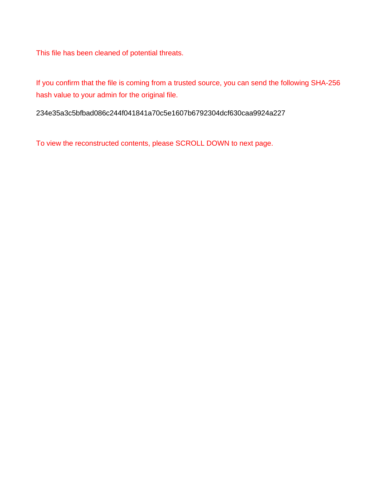This file has been cleaned of potential threats.

If you confirm that the file is coming from a trusted source, you can send the following SHA-256 hash value to your admin for the original file.

234e35a3c5bfbad086c244f041841a70c5e1607b6792304dcf630caa9924a227

To view the reconstructed contents, please SCROLL DOWN to next page.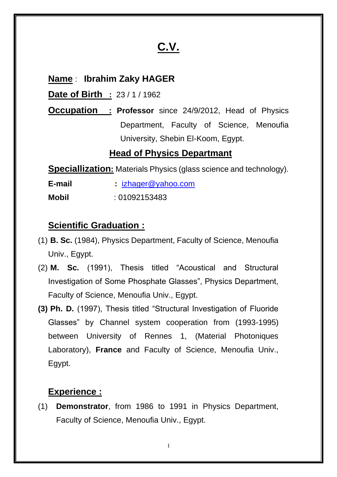# **C.V.**

## **Name** : **Ibrahim Zaky HAGER**

**Date of Birth :** 23 / 1 / 1962

**Occupation : Professor** since 24/9/2012, Head of Physics Department, Faculty of Science, Menoufia University, Shebin El-Koom, Egypt.

#### **Head of Physics Departmant**

**Speciallization:** Materials Physics (glass science and technology).

**E-mail :** izhager@yahoo.com **Mobil** : 01092153483

## **Scientific Graduation :**

- (1) **B. Sc.** (1984), Physics Department, Faculty of Science, Menoufia Univ., Egypt.
- (2) **M. Sc.** (1991), Thesis titled "Acoustical and Structural Investigation of Some Phosphate Glasses", Physics Department, Faculty of Science, Menoufia Univ., Egypt.
- **(3) Ph. D.** (1997), Thesis titled "Structural Investigation of Fluoride Glasses" by Channel system cooperation from (1993-1995) between University of Rennes 1, (Material Photoniques Laboratory), **France** and Faculty of Science, Menoufia Univ., Egypt.

# **Experience :**

(1) **Demonstrator**, from 1986 to 1991 in Physics Department, Faculty of Science, Menoufia Univ., Egypt.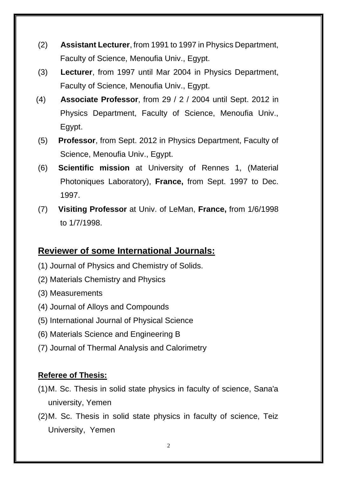- (2) **Assistant Lecturer**, from 1991 to 1997 in Physics Department, Faculty of Science, Menoufia Univ., Egypt.
- (3) **Lecturer**, from 1997 until Mar 2004 in Physics Department, Faculty of Science, Menoufia Univ., Egypt.
- (4) **Associate Professor**, from 29 / 2 / 2004 until Sept. 2012 in Physics Department, Faculty of Science, Menoufia Univ., Egypt.
- (5) **Professor**, from Sept. 2012 in Physics Department, Faculty of Science, Menoufia Univ., Egypt.
- (6) **Scientific mission** at University of Rennes 1, (Material Photoniques Laboratory), **France,** from Sept. 1997 to Dec. 1997.
- (7) **Visiting Professor** at Univ. of LeMan, **France,** from 1/6/1998 to 1/7/1998.

# **Reviewer of some International Journals:**

- (1) Journal of Physics and Chemistry of Solids.
- (2) Materials Chemistry and Physics
- (3) Measurements
- (4) Journal of Alloys and Compounds
- (5) International Journal of Physical Science
- (6) Materials Science and Engineering B
- (7) Journal of Thermal Analysis and Calorimetry

#### **Referee of Thesis:**

- (1)M. Sc. Thesis in solid state physics in faculty of science, Sana'a university, Yemen
- (2)M. Sc. Thesis in solid state physics in faculty of science, Teiz University, Yemen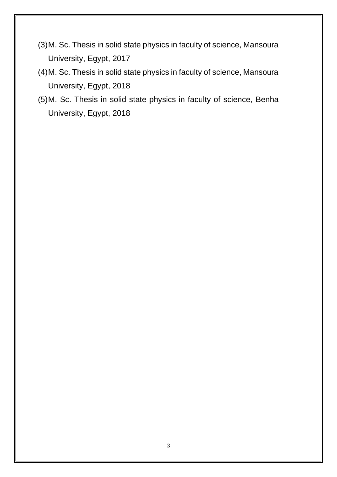- (3)M. Sc. Thesis in solid state physics in faculty of science, Mansoura University, Egypt, 2017
- (4)M. Sc. Thesis in solid state physics in faculty of science, Mansoura University, Egypt, 2018
- (5)M. Sc. Thesis in solid state physics in faculty of science, Benha University, Egypt, 2018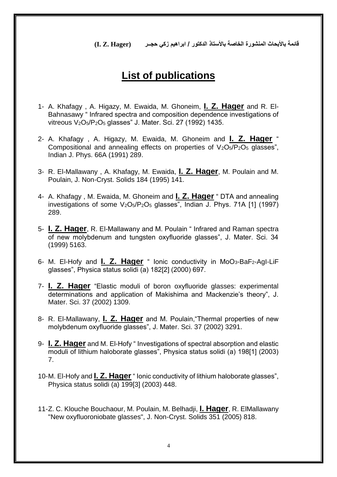**قائمة باألبحاث المنشورة الخاصة باألستاذ الدكتور / ابراهيم زكي حجــر (Hager .Z .I(**

# **List of publications**

- 1- A. Khafagy , A. Higazy, M. Ewaida, M. Ghoneim, **I. Z. Hager** and R. El-Bahnasawy " Infrared spectra and composition dependence investigations of vitreous V2O5/P2O<sup>5</sup> glasses" J. Mater. Sci. 27 (1992) 1435.
- 2- A. Khafagy , A. Higazy, M. Ewaida, M. Ghoneim and **I. Z. Hager** " Compositional and annealing effects on properties of  $V_2O_5/P_2O_5$  glasses", Indian J. Phys. 66A (1991) 289.
- 3- R. El-Mallawany , A. Khafagy, M. Ewaida, **I. Z. Hager**, M. Poulain and M. Poulain, J. Non-Cryst. Solids 184 (1995) 141.
- 4- A. Khafagy , M. Ewaida, M. Ghoneim and **I. Z. Hager** " DTA and annealing investigations of some  $V_2O_5/P_2O_5$  glasses", Indian J. Phys. 71A [1] (1997) 289.
- 5- **I. Z. Hager**, R. El-Mallawany and M. Poulain " Infrared and Raman spectra of new molybdenum and tungsten oxyfluoride glasses", J. Mater. Sci. 34 (1999) 5163.
- 6- M. El-Hofy and **I. Z. Hager** " Ionic conductivity in MoO3-BaF2-AgI-LiF glasses", Physica status solidi (a) 182[2] (2000) 697.
- 7- **I. Z. Hager** "Elastic moduli of boron oxyfluoride glasses: experimental determinations and application of Makishima and Mackenzie's theory", J. Mater. Sci. 37 (2002) 1309.
- 8- R. El-Mallawany, **I. Z. Hager** and M. Poulain,"Thermal properties of new molybdenum oxyfluoride glasses", J. Mater. Sci. 37 (2002) 3291.
- 9- **I. Z. Hager** and M. El-Hofy " Investigations of spectral absorption and elastic moduli of lithium haloborate glasses", Physica status solidi (a) 198[1] (2003) 7.
- 10-M. El-Hofy and **I. Z. Hager** " Ionic conductivity of lithium haloborate glasses", Physica status solidi (a) 199[3] (2003) 448.
- 11-Z. C. Klouche Bouchaour, M. Poulain, M. Belhadji, **I. Hager**, R. ElMallawany "New oxyfluoroniobate glasses", J. Non-Cryst. Solids 351 (2005) 818.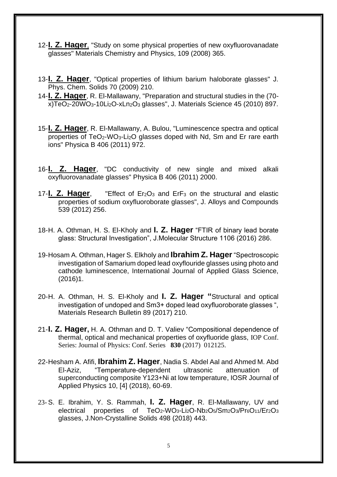- 12-**I. Z. Hager**, "Study on some physical properties of new oxyfluorovanadate glasses" Materials Chemistry and Physics, 109 (2008) 365.
- 13-**I. Z. Hager**, "Optical properties of lithium barium haloborate glasses" J. Phys. Chem. Solids 70 (2009) 210.
- 14-**I. Z. Hager**, R. El-Mallawany, "Preparation and structural studies in the (70 x)TeO<sub>2</sub>-20WO<sub>3</sub>-10Li<sub>2</sub>O-xLn<sub>2</sub>O<sub>3</sub> glasses", J. Materials Science 45 (2010) 897.
- 15-**I. Z. Hager**, R. El-Mallawany, A. Bulou, "Luminescence spectra and optical properties of TeO2-WO3-Li2O glasses doped with Nd, Sm and Er rare earth ions" Physica B 406 (2011) 972.
- 16-**I. Z. Hager**, "DC conductivity of new single and mixed alkali oxyfluorovanadate glasses" Physica B 406 (2011) 2000.
- 17-**I. Z. Hager**, "Effect of Er2O<sup>3</sup> and ErF<sup>3</sup> on the structural and elastic properties of sodium oxyfluoroborate glasses", J. Alloys and Compounds 539 (2012) 256.
- 18-H. A. Othman, H. S. El-Kholy and **I. Z. Hager** "FTIR of binary lead borate glass: Structural Investigation", J.Molecular Structure 1106 (2016) 286.
- 19-Hosam A. Othman, Hager S. Elkholy and **Ibrahim Z. Hager**"Spectroscopic investigation of Samarium doped lead oxyflouride glasses using photo and cathode luminescence, International Journal of Applied Glass Science, (2016)1.
- 20-H. A. Othman, H. S. El-Kholy and **I. Z. Hager "**Structural and optical investigation of undoped and Sm3+ doped lead oxyfluoroborate glasses ", Materials Research Bulletin 89 (2017) 210.
- 21-**I. Z. Hager,** H. A. Othman and D. T. Valiev "Compositional dependence of thermal, optical and mechanical properties of oxyfluoride glass, IOP Conf. Series: Journal of Physics: Conf. Series **1830** (2017)**0**012125.
- 22-Hesham A. Afifi, **Ibrahim Z. Hager**, Nadia S. Abdel Aal and Ahmed M. Abd El-Aziz, "Temperature-dependent ultrasonic attenuation of superconducting composite Y123+Ni at low temperature, IOSR Journal of Applied Physics 10, [4] (2018), 60-69.
- 23- S. E. Ibrahim, Y. S. Rammah, **I. Z. Hager**, R. El-Mallawany, UV and electrical properties of TeO<sub>2</sub>-WO<sub>3</sub>-Li<sub>2</sub>O-Nb<sub>2</sub>O<sub>5</sub>/Sm<sub>2</sub>O<sub>3</sub>/Pr<sub>6</sub>O<sub>11</sub>/Er<sub>2</sub>O<sub>3</sub> glasses, J.Non-Crystalline Solids 498 (2018) 443.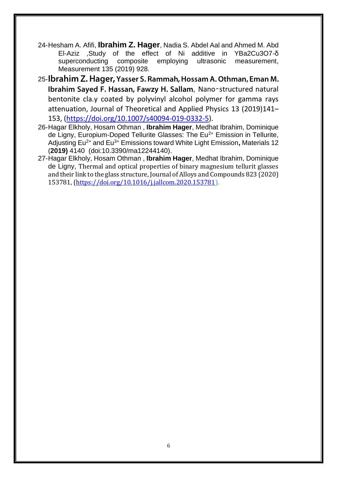- 24-Hesham A. Afifi, **Ibrahim Z. Hager**, Nadia S. Abdel Aal and Ahmed M. Abd El-Aziz ,Study of the effect of Ni additive in YBa2Cu3O7-δ superconducting composite employing ultrasonic measurement, Measurement 135 (2019) 928.
- 25-Ibrahim Z. Hager, Yasser S. Rammah, Hossam A. Othman, Eman M. Ibrahim Sayed F. Hassan, Fawzy H. Sallam, Nano-structured natural bentonite cla.y coated by polyvinyl alcohol polymer for gamma rays attenuation, Journal of Theoretical and Applied Physics 13 (2019)141– 153, (https://doi.org/10.1007/s40094-019-0332-5).
- 26-Hagar Elkholy, Hosam Othman , **Ibrahim Hager**, Medhat Ibrahim, Dominique de Ligny, Europium-Doped Tellurite Glasses: The Eu<sup>2+</sup> Emission in Tellurite, Adjusting Eu2+ and Eu3+ Emissions toward White Light Emission**,** Materials 12 (**2019)** 4140 (doi:10.3390/ma12244140).
- 27-Hagar Elkholy, Hosam Othman , **Ibrahim Hager**, Medhat Ibrahim, Dominique de Ligny, Thermal and optical properties of binary magnesium tellurit glasses and their link to the glass structure, Journal of Alloys and Compounds 823 (2020) 153781, (https://doi.org/10.1016/j.jallcom.2020.153781).